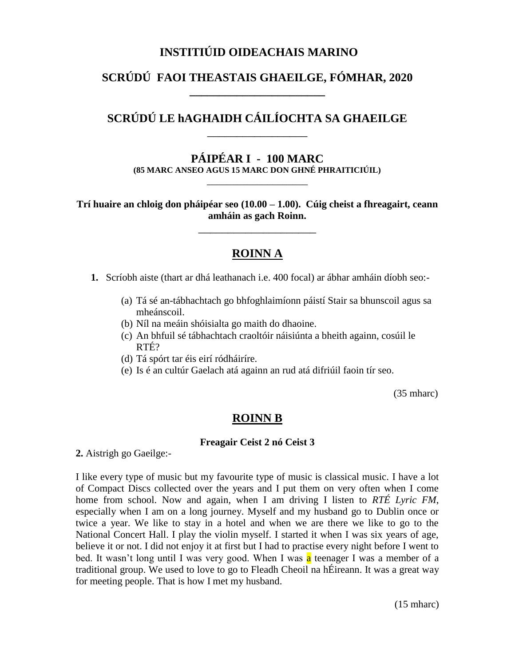# **INSTITIÚID OIDEACHAIS MARINO**

# **SCRÚDÚ FAOI THEASTAIS GHAEILGE, FÓMHAR, 2020 \_\_\_\_\_\_\_\_\_\_\_\_\_\_\_\_\_\_\_\_\_\_\_**

# **SCRÚDÚ LE hAGHAIDH CÁILÍOCHTA SA GHAEILGE** \_\_\_\_\_\_\_\_\_\_\_\_\_\_\_\_\_

**PÁIPÉAR I - 100 MARC (85 MARC ANSEO AGUS 15 MARC DON GHNÉ PHRAITICIÚIL)**

\_\_\_\_\_\_\_\_\_\_\_\_\_\_\_\_\_\_\_\_

**Trí huaire an chloig don pháipéar seo (10.00 – 1.00). Cúig cheist a fhreagairt, ceann amháin as gach Roinn.**

\_\_\_\_\_\_\_\_\_\_\_\_\_\_\_\_\_\_\_\_

### **ROINN A**

**1.** Scríobh aiste (thart ar dhá leathanach i.e. 400 focal) ar ábhar amháin díobh seo:-

- (a) Tá sé an-tábhachtach go bhfoghlaimíonn páistí Stair sa bhunscoil agus sa mheánscoil.
- (b) Níl na meáin shóisialta go maith do dhaoine.
- (c) An bhfuil sé tábhachtach craoltóir náisiúnta a bheith againn, cosúil le RTÉ?
- (d) Tá spórt tar éis eirí ródháiríre.
- (e) Is é an cultúr Gaelach atá againn an rud atá difriúil faoin tír seo.

(35 mharc)

### **ROINN B**

#### **Freagair Ceist 2 nó Ceist 3**

**2.** Aistrigh go Gaeilge:-

I like every type of music but my favourite type of music is classical music. I have a lot of Compact Discs collected over the years and I put them on very often when I come home from school. Now and again, when I am driving I listen to *RTÉ Lyric FM*, especially when I am on a long journey. Myself and my husband go to Dublin once or twice a year. We like to stay in a hotel and when we are there we like to go to the National Concert Hall. I play the violin myself. I started it when I was six years of age, believe it or not. I did not enjoy it at first but I had to practise every night before I went to bed. It wasn't long until I was very good. When I was a teenager I was a member of a traditional group. We used to love to go to Fleadh Cheoil na hÉireann. It was a great way for meeting people. That is how I met my husband.

(15 mharc)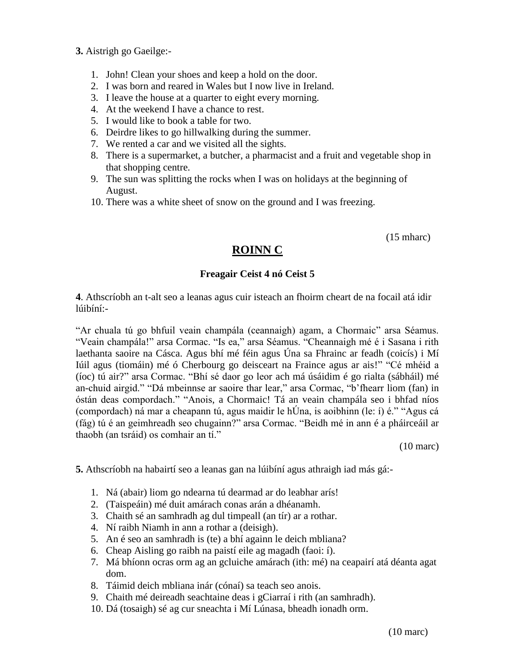**3.** Aistrigh go Gaeilge:-

- 1. John! Clean your shoes and keep a hold on the door.
- 2. I was born and reared in Wales but I now live in Ireland.
- 3. I leave the house at a quarter to eight every morning.
- 4. At the weekend I have a chance to rest.
- 5. I would like to book a table for two.
- 6. Deirdre likes to go hillwalking during the summer.
- 7. We rented a car and we visited all the sights.
- 8. There is a supermarket, a butcher, a pharmacist and a fruit and vegetable shop in that shopping centre.
- 9. The sun was splitting the rocks when I was on holidays at the beginning of August.
- 10. There was a white sheet of snow on the ground and I was freezing.

(15 mharc)

# **ROINN C**

### **Freagair Ceist 4 nó Ceist 5**

**4**. Athscríobh an t-alt seo a leanas agus cuir isteach an fhoirm cheart de na focail atá idir lúibíní:-

"Ar chuala tú go bhfuil veain champála (ceannaigh) agam, a Chormaic" arsa Séamus. "Veain champála!" arsa Cormac. "Is ea," arsa Séamus. "Cheannaigh mé é i Sasana i rith laethanta saoire na Cásca. Agus bhí mé féin agus Úna sa Fhrainc ar feadh (coicís) i Mí Iúil agus (tiomáin) mé ó Cherbourg go deisceart na Fraince agus ar ais!" "Cé mhéid a (íoc) tú air?" arsa Cormac. "Bhí sé daor go leor ach má úsáidim é go rialta (sábháil) mé an-chuid airgid." "Dá mbeinnse ar saoire thar lear," arsa Cormac, "b'fhearr liom (fan) in óstán deas compordach." "Anois, a Chormaic! Tá an veain champála seo i bhfad níos (compordach) ná mar a cheapann tú, agus maidir le hÚna, is aoibhinn (le: í) é." "Agus cá (fág) tú é an geimhreadh seo chugainn?" arsa Cormac. "Beidh mé in ann é a pháirceáil ar thaobh (an tsráid) os comhair an tí."

(10 marc)

**5.** Athscríobh na habairtí seo a leanas gan na lúibíní agus athraigh iad más gá:-

- 1. Ná (abair) liom go ndearna tú dearmad ar do leabhar arís!
- 2. (Taispeáin) mé duit amárach conas arán a dhéanamh.
- 3. Chaith sé an samhradh ag dul timpeall (an tír) ar a rothar.
- 4. Ní raibh Niamh in ann a rothar a (deisigh).
- 5. An é seo an samhradh is (te) a bhí againn le deich mbliana?
- 6. Cheap Aisling go raibh na paistí eile ag magadh (faoi: í).
- 7. Má bhíonn ocras orm ag an gcluiche amárach (ith: mé) na ceapairí atá déanta agat dom.
- 8. Táimid deich mbliana inár (cónaí) sa teach seo anois.
- 9. Chaith mé deireadh seachtaine deas i gCiarraí i rith (an samhradh).
- 10. Dá (tosaigh) sé ag cur sneachta i Mí Lúnasa, bheadh ionadh orm.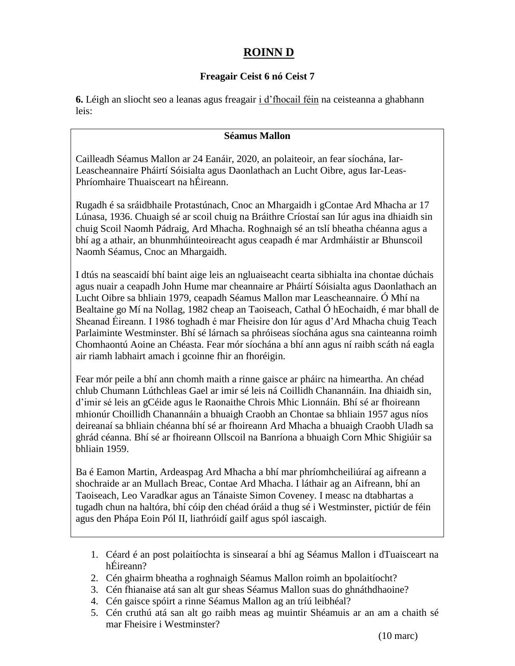# **ROINN D**

### **Freagair Ceist 6 nó Ceist 7**

**6.** Léigh an sliocht seo a leanas agus freagair i d'fhocail féin na ceisteanna a ghabhann leis:

#### **Séamus Mallon**

Cailleadh Séamus Mallon ar 24 Eanáir, 2020, an polaiteoir, an fear síochána, Iar-Leascheannaire Pháirtí Sóisialta agus Daonlathach an Lucht Oibre, agus Iar-Leas-Phríomhaire Thuaisceart na hÉireann.

Rugadh é sa sráidbhaile Protastúnach, Cnoc an Mhargaidh i gContae Ard Mhacha ar 17 Lúnasa, 1936. Chuaigh sé ar scoil chuig na Bráithre Críostaí san Iúr agus ina dhiaidh sin chuig Scoil Naomh Pádraig, Ard Mhacha. Roghnaigh sé an tslí bheatha chéanna agus a bhí ag a athair, an bhunmhúinteoireacht agus ceapadh é mar Ardmháistir ar Bhunscoil Naomh Séamus, Cnoc an Mhargaidh.

I dtús na seascaidí bhí baint aige leis an ngluaiseacht cearta sibhialta ina chontae dúchais agus nuair a ceapadh John Hume mar cheannaire ar Pháirtí Sóisialta agus Daonlathach an Lucht Oibre sa bhliain 1979, ceapadh Séamus Mallon mar Leascheannaire. Ó Mhí na Bealtaine go Mí na Nollag, 1982 cheap an Taoiseach, Cathal Ó hEochaidh, é mar bhall de Sheanad Éireann. I 1986 toghadh é mar Fheisire don Iúr agus d'Ard Mhacha chuig Teach Parlaiminte Westminster. Bhí sé lárnach sa phróiseas síochána agus sna cainteanna roimh Chomhaontú Aoine an Chéasta. Fear mór síochána a bhí ann agus ní raibh scáth ná eagla air riamh labhairt amach i gcoinne fhir an fhoréigin.

Fear mór peile a bhí ann chomh maith a rinne gaisce ar pháirc na himeartha. An chéad chlub Chumann Lúthchleas Gael ar imir sé leis ná Coillidh Chanannáin. Ina dhiaidh sin, d'imir sé leis an gCéide agus le Raonaithe Chrois Mhic Lionnáin. Bhí sé ar fhoireann mhionúr Choillidh Chanannáin a bhuaigh Craobh an Chontae sa bhliain 1957 agus níos deireanaí sa bhliain chéanna bhí sé ar fhoireann Ard Mhacha a bhuaigh Craobh Uladh sa ghrád céanna. Bhí sé ar fhoireann Ollscoil na Banríona a bhuaigh Corn Mhic Shigiúir sa bhliain 1959.

Ba é Eamon Martin, Ardeaspag Ard Mhacha a bhí mar phríomhcheiliúraí ag aifreann a shochraide ar an Mullach Breac, Contae Ard Mhacha. I láthair ag an Aifreann, bhí an Taoiseach, Leo Varadkar agus an Tánaiste Simon Coveney. I measc na dtabhartas a tugadh chun na haltóra, bhí cóip den chéad óráid a thug sé i Westminster, pictiúr de féin agus den Phápa Eoin Pól II, liathróidí gailf agus spól iascaigh.

- 1. Céard é an post polaitíochta is sinsearaí a bhí ag Séamus Mallon i dTuaisceart na hÉireann?
- 2. Cén ghairm bheatha a roghnaigh Séamus Mallon roimh an bpolaitíocht?
- 3. Cén fhianaise atá san alt gur sheas Séamus Mallon suas do ghnáthdhaoine?
- 4. Cén gaisce spóirt a rinne Séamus Mallon ag an tríú leibhéal?
- 5. Cén cruthú atá san alt go raibh meas ag muintir Shéamuis ar an am a chaith sé mar Fheisire i Westminster?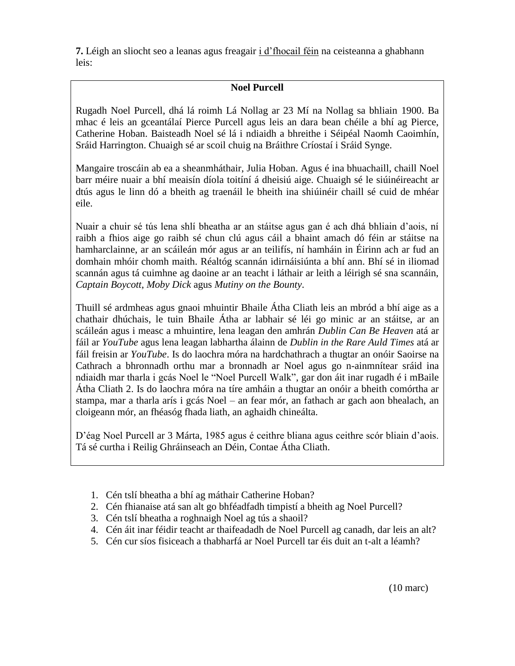**7.** Léigh an sliocht seo a leanas agus freagair i d'fhocail féin na ceisteanna a ghabhann leis:

### **Noel Purcell**

Rugadh Noel Purcell, dhá lá roimh Lá Nollag ar 23 Mí na Nollag sa bhliain 1900. Ba mhac é leis an gceantálaí Pierce Purcell agus leis an dara bean chéile a bhí ag Pierce, Catherine Hoban. Baisteadh Noel sé lá i ndiaidh a bhreithe i Séipéal Naomh Caoimhín, Sráid Harrington. Chuaigh sé ar scoil chuig na Bráithre Críostaí i Sráid Synge.

Mangaire troscáin ab ea a sheanmháthair, Julia Hoban. Agus é ina bhuachaill, chaill Noel barr méire nuair a bhí meaisín díola toitíní á dheisiú aige. Chuaigh sé le siúinéireacht ar dtús agus le linn dó a bheith ag traenáil le bheith ina shiúinéir chaill sé cuid de mhéar eile.

Nuair a chuir sé tús lena shlí bheatha ar an stáitse agus gan é ach dhá bhliain d'aois, ní raibh a fhios aige go raibh sé chun clú agus cáil a bhaint amach dó féin ar stáitse na hamharclainne, ar an scáileán mór agus ar an teilifís, ní hamháin in Éirinn ach ar fud an domhain mhóir chomh maith. Réaltóg scannán idirnáisiúnta a bhí ann. Bhí sé in iliomad scannán agus tá cuimhne ag daoine ar an teacht i láthair ar leith a léirigh sé sna scannáin, *Captain Boycott*, *Moby Dick* agus *Mutiny on the Bounty*.

Thuill sé ardmheas agus gnaoi mhuintir Bhaile Átha Cliath leis an mbród a bhí aige as a chathair dhúchais, le tuin Bhaile Átha ar labhair sé léi go minic ar an stáitse, ar an scáileán agus i measc a mhuintire, lena leagan den amhrán *Dublin Can Be Heaven* atá ar fáil ar *YouTube* agus lena leagan labhartha álainn de *Dublin in the Rare Auld Times* atá ar fáil freisin ar *YouTube*. Is do laochra móra na hardchathrach a thugtar an onóir Saoirse na Cathrach a bhronnadh orthu mar a bronnadh ar Noel agus go n-ainmnítear sráid ina ndiaidh mar tharla i gcás Noel le "Noel Purcell Walk", gar don áit inar rugadh é i mBaile Átha Cliath 2. Is do laochra móra na tíre amháin a thugtar an onóir a bheith comórtha ar stampa, mar a tharla arís i gcás Noel – an fear mór, an fathach ar gach aon bhealach, an cloigeann mór, an fhéasóg fhada liath, an aghaidh chineálta.

D'éag Noel Purcell ar 3 Márta, 1985 agus é ceithre bliana agus ceithre scór bliain d'aois. Tá sé curtha i Reilig Ghráinseach an Déin, Contae Átha Cliath.

- 1. Cén tslí bheatha a bhí ag máthair Catherine Hoban?
- 2. Cén fhianaise atá san alt go bhféadfadh timpistí a bheith ag Noel Purcell?
- 3. Cén tslí bheatha a roghnaigh Noel ag tús a shaoil?
- 4. Cén áit inar féidir teacht ar thaifeadadh de Noel Purcell ag canadh, dar leis an alt?
- 5. Cén cur síos fisiceach a thabharfá ar Noel Purcell tar éis duit an t-alt a léamh?